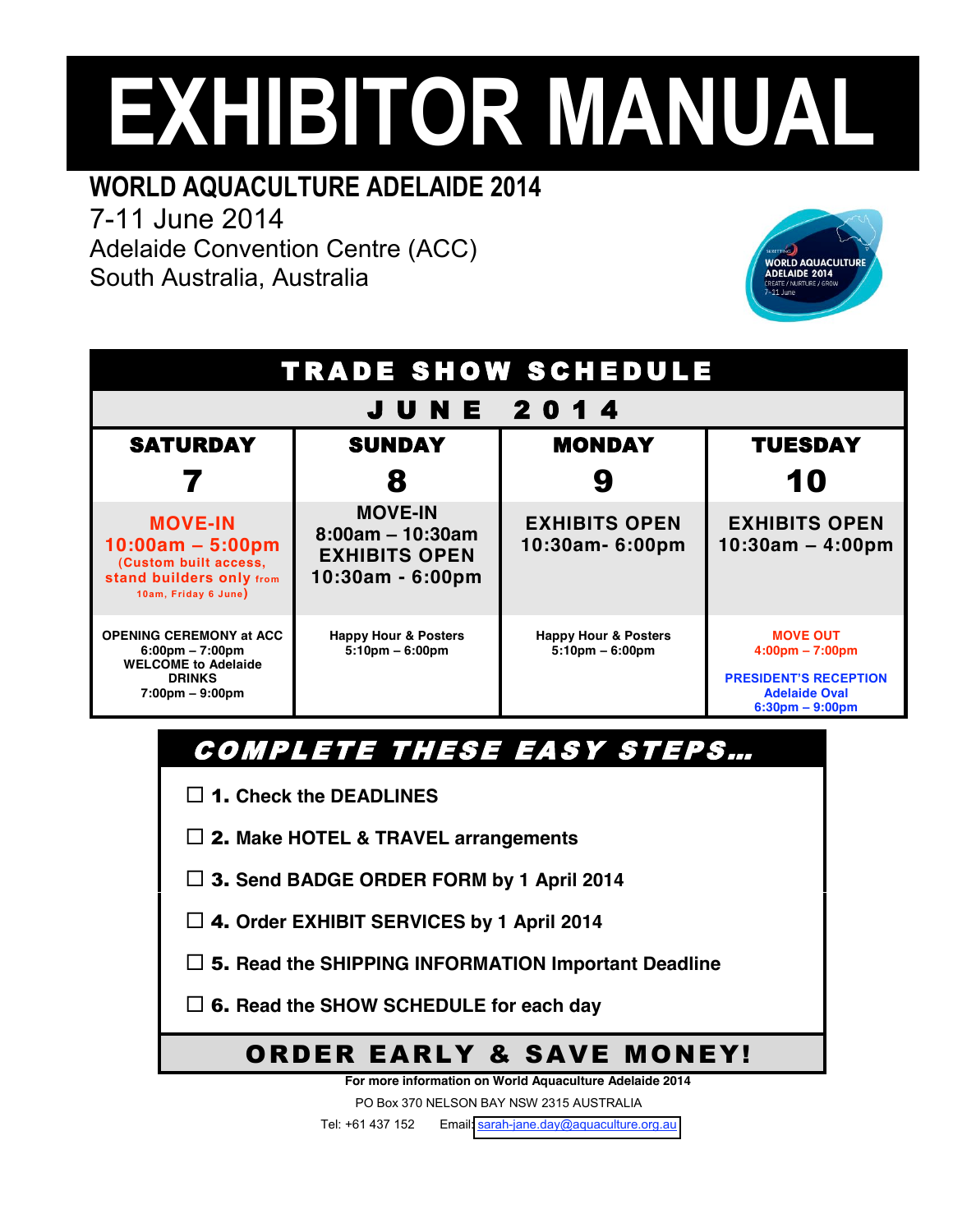# **EXHIBITOR MANUAL**

# **WORLD AQUACULTURE ADELAIDE 2014**

7-11 June 2014

Adelaide Convention Centre (ACC) South Australia, Australia



| TRADE SHOW SCHEDULE                                                                                                                                     |                                                                                  |                                                         |                                                                                                                                   |  |  |
|---------------------------------------------------------------------------------------------------------------------------------------------------------|----------------------------------------------------------------------------------|---------------------------------------------------------|-----------------------------------------------------------------------------------------------------------------------------------|--|--|
| <b>JUNE 2014</b>                                                                                                                                        |                                                                                  |                                                         |                                                                                                                                   |  |  |
| <b>SATURDAY</b>                                                                                                                                         | <b>SUNDAY</b>                                                                    | <b>MONDAY</b>                                           | <b>TUESDAY</b>                                                                                                                    |  |  |
|                                                                                                                                                         | 8                                                                                |                                                         | 10                                                                                                                                |  |  |
| <b>MOVE-IN</b><br>$10:00am - 5:00pm$<br>(Custom built access,<br><b>stand builders only from</b><br>10am, Friday 6 June)                                | <b>MOVE-IN</b><br>$8:00am - 10:30am$<br><b>EXHIBITS OPEN</b><br>10:30am - 6:00pm | <b>EXHIBITS OPEN</b><br>10:30am- 6:00pm                 | <b>EXHIBITS OPEN</b><br>$10:30am - 4:00pm$                                                                                        |  |  |
| <b>OPENING CEREMONY at ACC</b><br>$6:00 \text{pm} - 7:00 \text{pm}$<br><b>WELCOME to Adelaide</b><br><b>DRINKS</b><br>$7:00 \text{pm} - 9:00 \text{pm}$ | <b>Happy Hour &amp; Posters</b><br>$5:10 \text{pm} - 6:00 \text{pm}$             | <b>Happy Hour &amp; Posters</b><br>$5:10$ pm $-6:00$ pm | <b>MOVE OUT</b><br>$4:00 \text{pm} - 7:00 \text{pm}$<br><b>PRESIDENT'S RECEPTION</b><br><b>Adelaide Oval</b><br>$6:30pm - 9:00pm$ |  |  |

# COMPLETE THESE EASY STEPS...

1. **Check the DEADLINES**

2. **Make HOTEL & TRAVEL arrangements**

- 3. **Send BADGE ORDER FORM by 1 April 2014**
- 4. **Order EXHIBIT SERVICES by 1 April 2014**
- 5. **Read the SHIPPING INFORMATION Important Deadline**

6. **Read the SHOW SCHEDULE for each day**

### ORDER EARLY & SAVE MONEY!

**For more information on World Aquaculture Adelaide 2014** 

PO Box 370 NELSON BAY NSW 2315 AUSTRALIA

Tel: +61 437 152 Email: [sarah-jane.day@aquaculture.org.au](mailto:sarah-jane.day@aquaculture.org.au)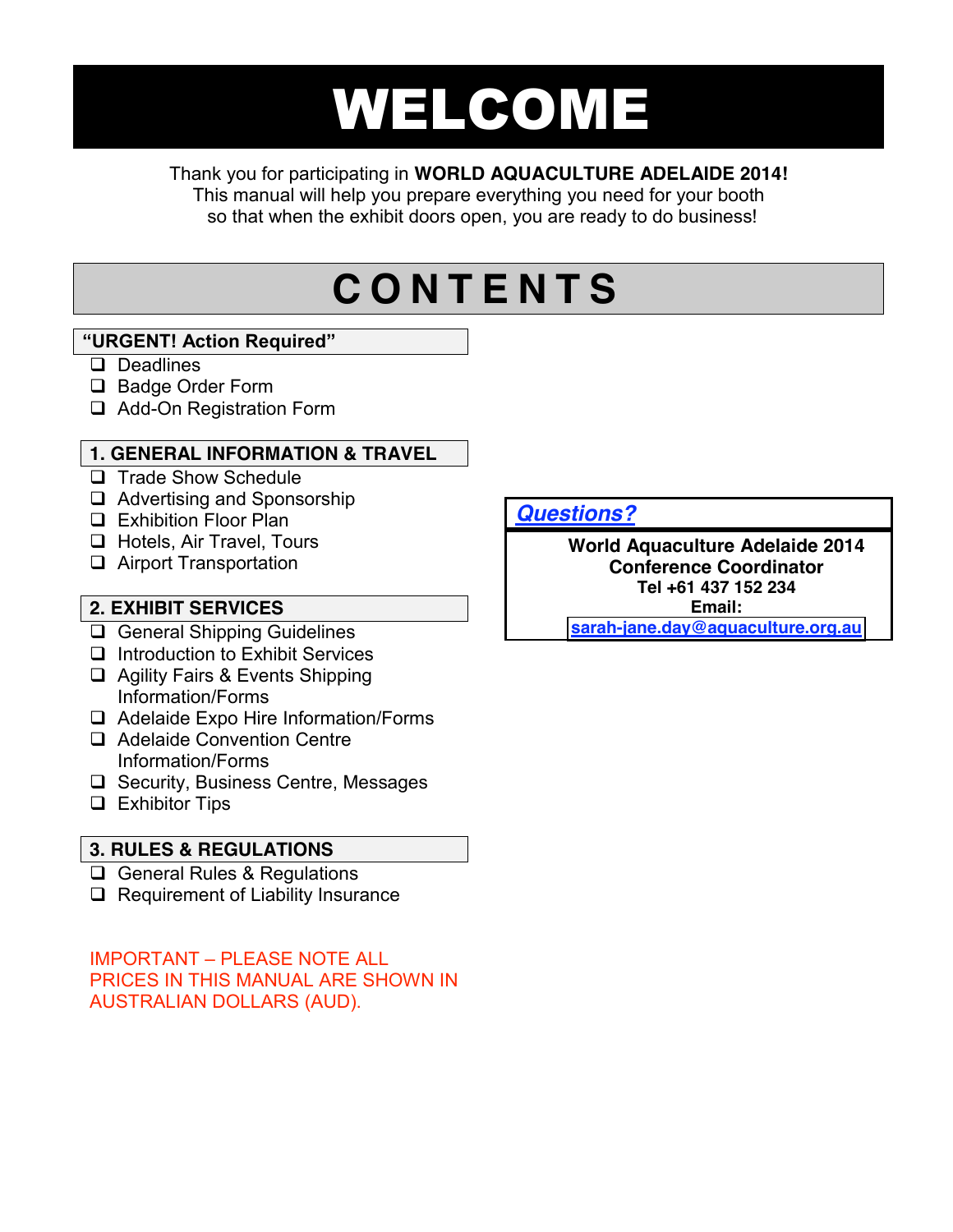# WELCOME

#### Thank you for participating in **WORLD AQUACULTURE ADELAIDE 2014!**

This manual will help you prepare everything you need for your booth so that when the exhibit doors open, you are ready to do business!

# **C O N T E N T S**

#### **"URGENT! Action Required"**

- Deadlines
- □ Badge Order Form
- □ Add-On Registration Form

#### **1. GENERAL INFORMATION & TRAVEL**

- **Trade Show Schedule**
- □ Advertising and Sponsorship
- **Exhibition Floor Plan**
- **Hotels, Air Travel, Tours**
- □ Airport Transportation

#### **2. EXHIBIT SERVICES**

- □ General Shipping Guidelines
- $\Box$  Introduction to Exhibit Services
- □ Agility Fairs & Events Shipping Information/Forms
- □ Adelaide Expo Hire Information/Forms
- □ Adelaide Convention Centre Information/Forms
- $\Box$  Security, Business Centre, Messages
- **Exhibitor Tips**

#### **3. RULES & REGULATIONS**

- General Rules & Regulations
- $\Box$  Requirement of Liability Insurance

IMPORTANT – PLEASE NOTE ALL PRICES IN THIS MANUAL ARE SHOWN IN AUSTRALIAN DOLLARS (AUD).

*Questions?*

**World Aquaculture Adelaide 2014 Conference Coordinator Tel +61 437 152 234 Email: [sarah-jane.day@aquaculture.org.au](mailto:sarah-jane.day@aquaculture.org.au)**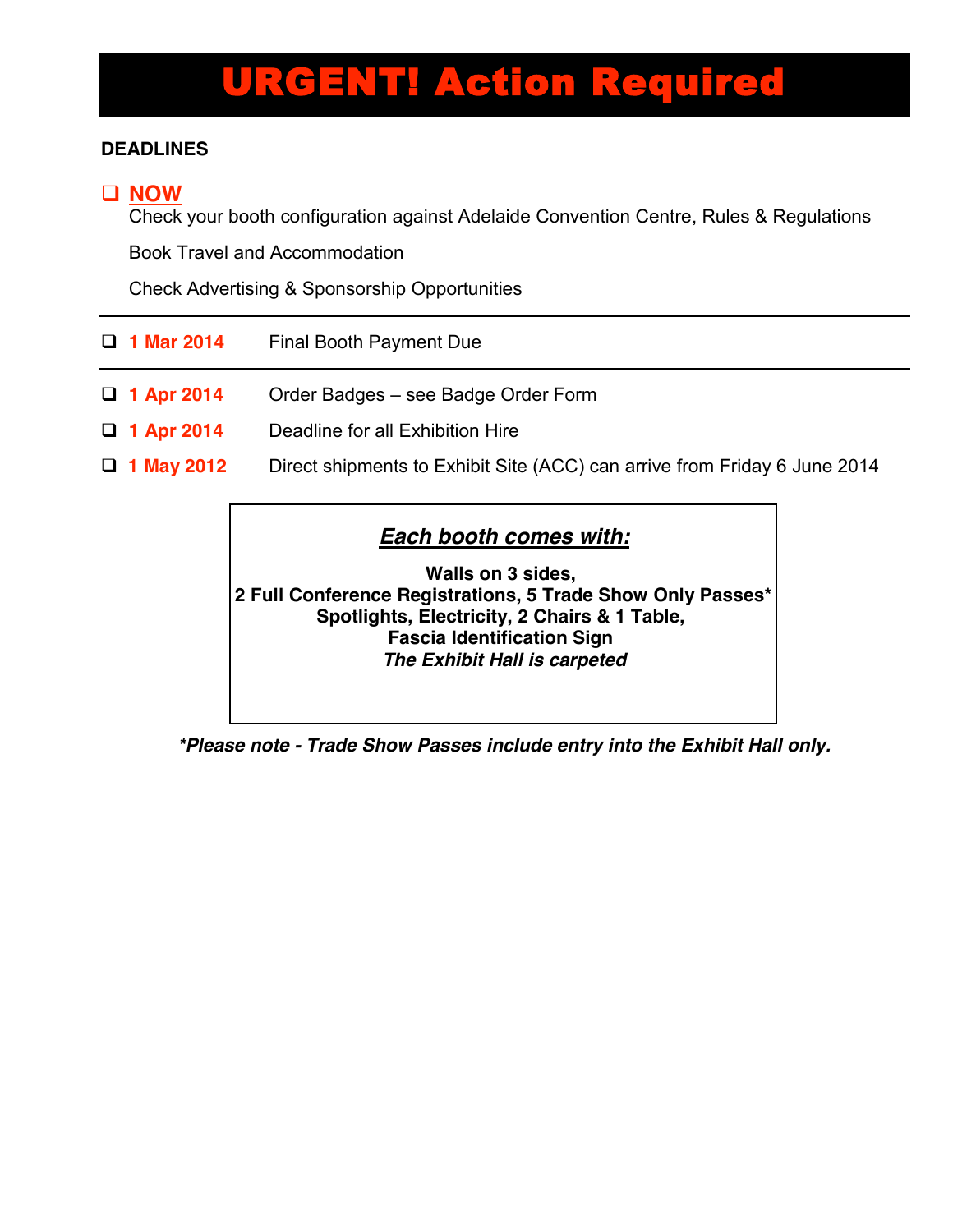# URGENT! Action Required

#### **DEADLINES**

#### **NOW**

Check your booth configuration against Adelaide Convention Centre, Rules & Regulations

Book Travel and Accommodation

Check Advertising & Sponsorship Opportunities

| $\Box$ 1 Mar 2014 | Final Booth Payment Due                                                   |
|-------------------|---------------------------------------------------------------------------|
| $\Box$ 1 Apr 2014 | Order Badges - see Badge Order Form                                       |
| $\Box$ 1 Apr 2014 | Deadline for all Exhibition Hire                                          |
| $\Box$ 1 May 2012 | Direct shipments to Exhibit Site (ACC) can arrive from Friday 6 June 2014 |

#### *Each booth comes with:*

**Walls on 3 sides, 2 Full Conference Registrations, 5 Trade Show Only Passes\* Spotlights, Electricity, 2 Chairs & 1 Table, Fascia Identification Sign**  *The Exhibit Hall is carpeted* 

*\*Please note - Trade Show Passes include entry into the Exhibit Hall only.*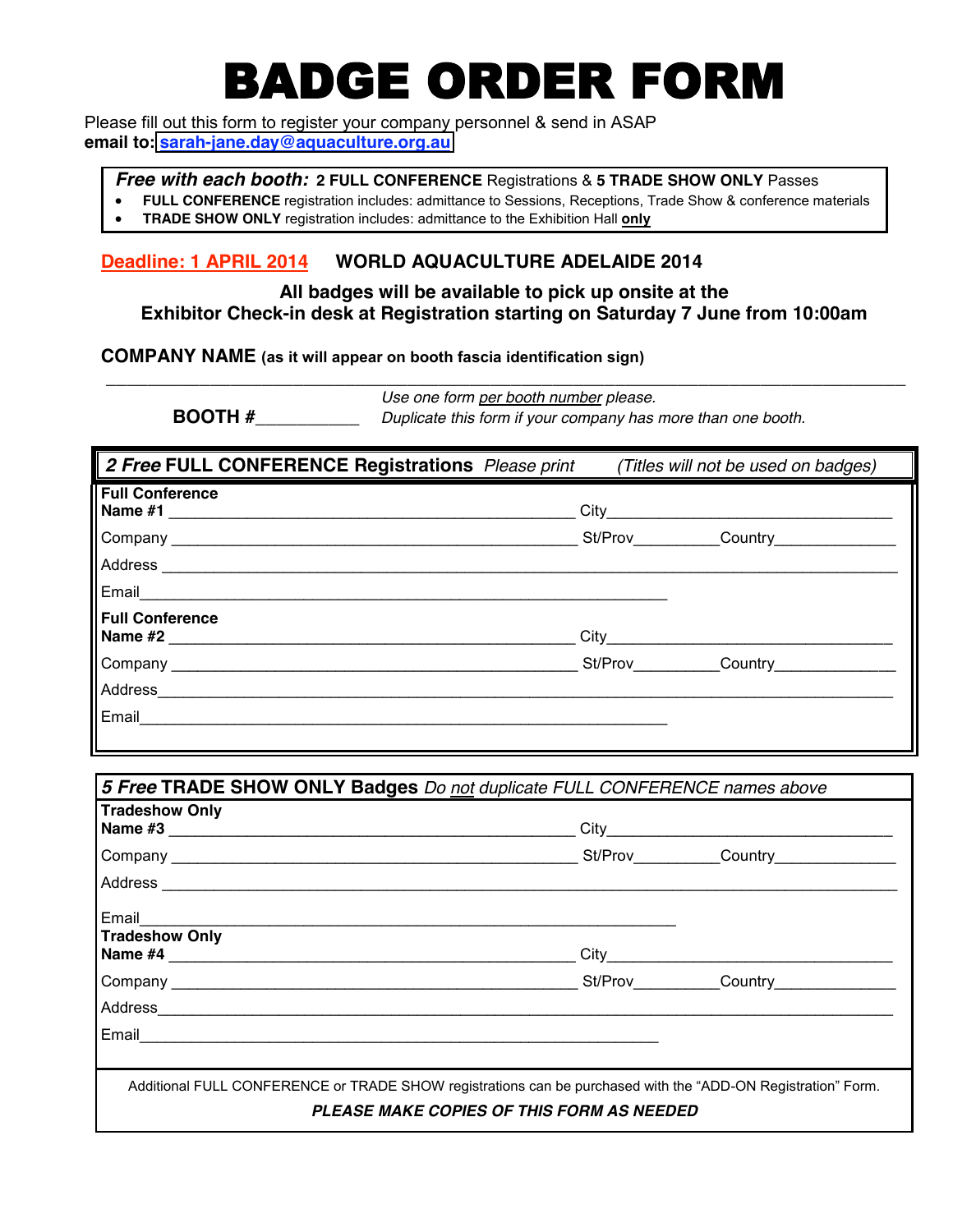# BADGE ORDER FORM

 Please fill out this form to register your company personnel & send in ASAP **email to: [sarah-jane.day@aquaculture.org.au](mailto:sarah-jane.day@aquaculture.org.au)**

*Free with each booth:* **2 FULL CONFERENCE** Registrations & **5 TRADE SHOW ONLY** Passes

- **FULL CONFERENCE** registration includes: admittance to Sessions, Receptions, Trade Show & conference materials
- **TRADE SHOW ONLY** registration includes: admittance to the Exhibition Hall **only**

#### **Deadline: 1 APRIL 2014 WORLD AQUACULTURE ADELAIDE 2014**

#### **All badges will be available to pick up onsite at the Exhibitor Check-in desk at Registration starting on Saturday 7 June from 10:00am**

 **\_\_\_\_\_\_\_\_\_\_\_\_\_\_\_\_\_\_\_\_\_\_\_\_\_\_\_\_\_\_\_\_\_\_\_\_\_\_\_\_\_\_\_\_\_\_\_\_\_\_\_\_\_\_\_\_\_\_\_\_\_\_\_\_\_\_\_\_\_\_\_\_\_\_\_\_\_** 

**COMPANY NAME (as it will appear on booth fascia identification sign)**

*Use one form per booth number please.*  **BOOTH #\_\_\_\_\_\_\_\_\_\_** *Duplicate this form if your company has more than one booth.*

| 2 Free FULL CONFERENCE Registrations Please print |      |                | (Titles will not be used on badges) |
|---------------------------------------------------|------|----------------|-------------------------------------|
| <b>Full Conference</b><br>Name #1                 | City |                |                                     |
| Company<br>Address                                |      | St/Prov        | Country                             |
|                                                   |      |                |                                     |
| Email                                             |      |                |                                     |
| Full Conference<br>Name #2                        | City |                |                                     |
| Company<br>Address_                               |      | <b>St/Prov</b> | Country                             |
|                                                   |      |                |                                     |
| Email                                             |      |                |                                     |
|                                                   |      |                |                                     |

| 5 Free TRADE SHOW ONLY Badges Do not duplicate FULL CONFERENCE names above                                                                                       |  |  |  |
|------------------------------------------------------------------------------------------------------------------------------------------------------------------|--|--|--|
| <b>Tradeshow Only</b>                                                                                                                                            |  |  |  |
|                                                                                                                                                                  |  |  |  |
|                                                                                                                                                                  |  |  |  |
| Email<br><b>Tradeshow Only</b>                                                                                                                                   |  |  |  |
|                                                                                                                                                                  |  |  |  |
|                                                                                                                                                                  |  |  |  |
|                                                                                                                                                                  |  |  |  |
|                                                                                                                                                                  |  |  |  |
|                                                                                                                                                                  |  |  |  |
| Additional FULL CONFERENCE or TRADE SHOW registrations can be purchased with the "ADD-ON Registration" Form.<br><b>PLEASE MAKE COPIES OF THIS FORM AS NEEDED</b> |  |  |  |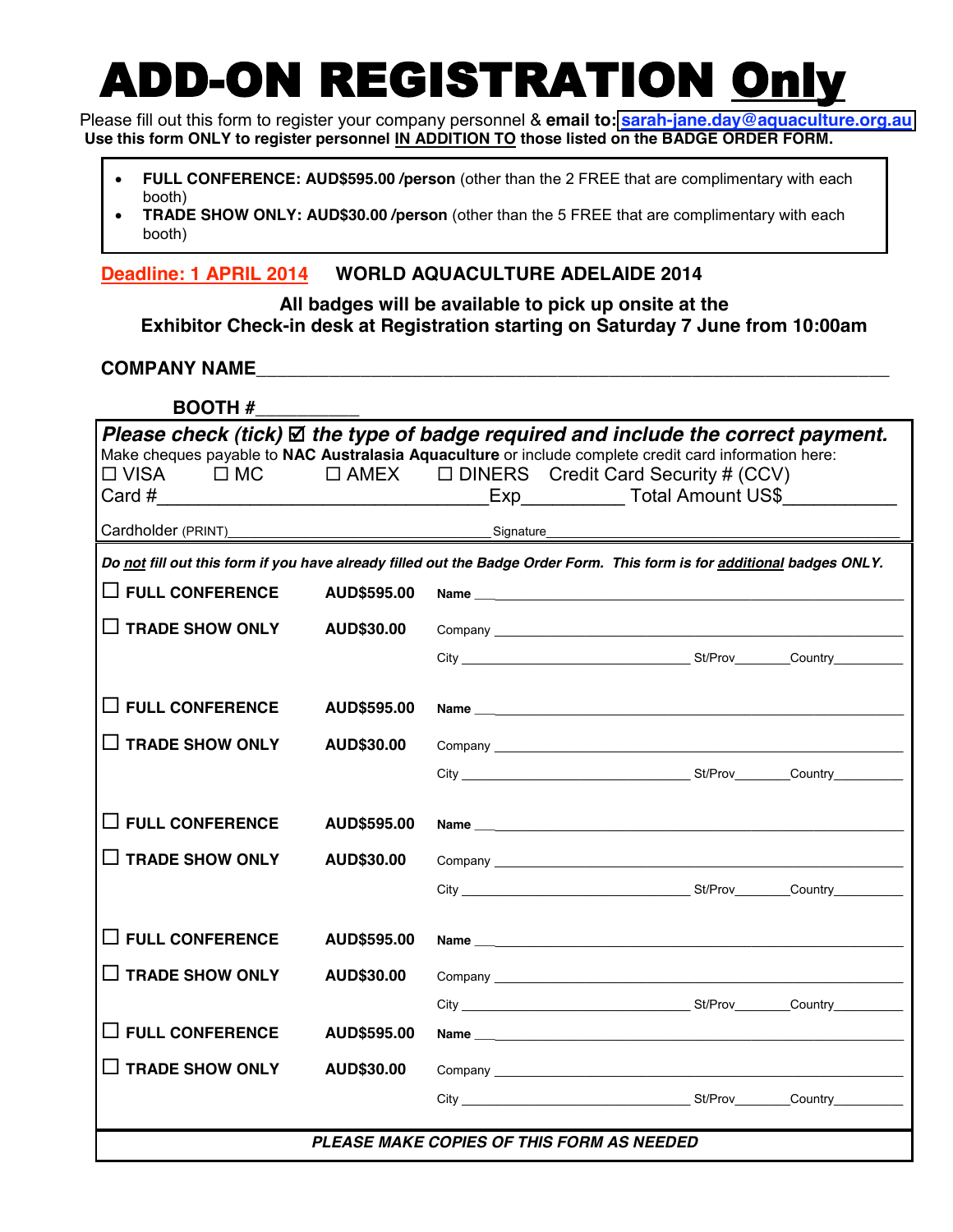# ADD-ON REGISTRATION Only

Please fill out this form to register your company personnel & **email to: [sarah-jane.day@aquaculture.org.au](mailto:sarah-jane.day@aquaculture.org.au)** Use this form ONLY to register personnel IN ADDITION TO those listed on the BADGE ORDER FORM.

- **FULL CONFERENCE: AUD\$595.00 /person** (other than the 2 FREE that are complimentary with each booth)
- **TRADE SHOW ONLY: AUD\$30.00 /person** (other than the 5 FREE that are complimentary with each booth)

**Deadline: 1 APRIL 2014 WORLD AQUACULTURE ADELAIDE 2014**

**All badges will be available to pick up onsite at the Exhibitor Check-in desk at Registration starting on Saturday 7 June from 10:00am**

#### **COMPANY NAME\_\_\_\_\_\_\_\_\_\_\_\_\_\_\_\_\_\_\_\_\_\_\_\_\_\_\_\_\_\_\_\_\_\_\_\_\_\_\_\_\_\_\_\_\_\_\_\_\_\_\_\_\_\_\_\_\_\_\_\_\_**

| <b>BOOTH#</b>                                                                                                           |                   |  |  |                                                        |                                                                                                                                                                                                                                |
|-------------------------------------------------------------------------------------------------------------------------|-------------------|--|--|--------------------------------------------------------|--------------------------------------------------------------------------------------------------------------------------------------------------------------------------------------------------------------------------------|
| Please check (tick) $\boxtimes$ the type of badge required and include the correct payment.                             |                   |  |  |                                                        |                                                                                                                                                                                                                                |
| Make cheques payable to NAC Australasia Aquaculture or include complete credit card information here:                   |                   |  |  |                                                        |                                                                                                                                                                                                                                |
| $\Box$ VISA<br>$\Box$ MC                                                                                                |                   |  |  | $\Box$ AMEX $\Box$ DINERS Credit Card Security # (CCV) |                                                                                                                                                                                                                                |
|                                                                                                                         |                   |  |  |                                                        |                                                                                                                                                                                                                                |
|                                                                                                                         |                   |  |  |                                                        |                                                                                                                                                                                                                                |
| Do not fill out this form if you have already filled out the Badge Order Form. This form is for additional badges ONLY. |                   |  |  |                                                        |                                                                                                                                                                                                                                |
| $\Box$ FULL CONFERENCE                                                                                                  | AUD\$595.00       |  |  |                                                        |                                                                                                                                                                                                                                |
| $\Box$ TRADE SHOW ONLY                                                                                                  | AUD\$30.00        |  |  |                                                        |                                                                                                                                                                                                                                |
|                                                                                                                         |                   |  |  |                                                        |                                                                                                                                                                                                                                |
|                                                                                                                         |                   |  |  |                                                        |                                                                                                                                                                                                                                |
| $\Box$ FULL CONFERENCE                                                                                                  | AUD\$595.00       |  |  |                                                        |                                                                                                                                                                                                                                |
| $\Box$ TRADE SHOW ONLY                                                                                                  | <b>AUD\$30.00</b> |  |  |                                                        |                                                                                                                                                                                                                                |
|                                                                                                                         |                   |  |  |                                                        |                                                                                                                                                                                                                                |
| $\square$ FULL CONFERENCE                                                                                               | AUD\$595.00       |  |  |                                                        |                                                                                                                                                                                                                                |
|                                                                                                                         |                   |  |  |                                                        |                                                                                                                                                                                                                                |
| $\Box$ TRADE SHOW ONLY                                                                                                  | <b>AUD\$30.00</b> |  |  |                                                        |                                                                                                                                                                                                                                |
|                                                                                                                         |                   |  |  |                                                        | City Current Country Country Country Country Country Country Country Country Country Country Country Country Country Country Country Country Country Country Country Country Country Country Country Country Country Country C |
| $\Box$ FULL CONFERENCE                                                                                                  |                   |  |  |                                                        |                                                                                                                                                                                                                                |
|                                                                                                                         | AUD\$595.00       |  |  |                                                        |                                                                                                                                                                                                                                |
| $\Box$ TRADE SHOW ONLY                                                                                                  | <b>AUD\$30.00</b> |  |  |                                                        |                                                                                                                                                                                                                                |
|                                                                                                                         |                   |  |  |                                                        |                                                                                                                                                                                                                                |
| $\Box$ FULL CONFERENCE                                                                                                  | AUD\$595.00       |  |  |                                                        |                                                                                                                                                                                                                                |
| $\Box$ TRADE SHOW ONLY                                                                                                  | <b>AUD\$30.00</b> |  |  |                                                        |                                                                                                                                                                                                                                |
|                                                                                                                         |                   |  |  |                                                        |                                                                                                                                                                                                                                |
|                                                                                                                         |                   |  |  |                                                        |                                                                                                                                                                                                                                |
| <b>PLEASE MAKE COPIES OF THIS FORM AS NEEDED</b>                                                                        |                   |  |  |                                                        |                                                                                                                                                                                                                                |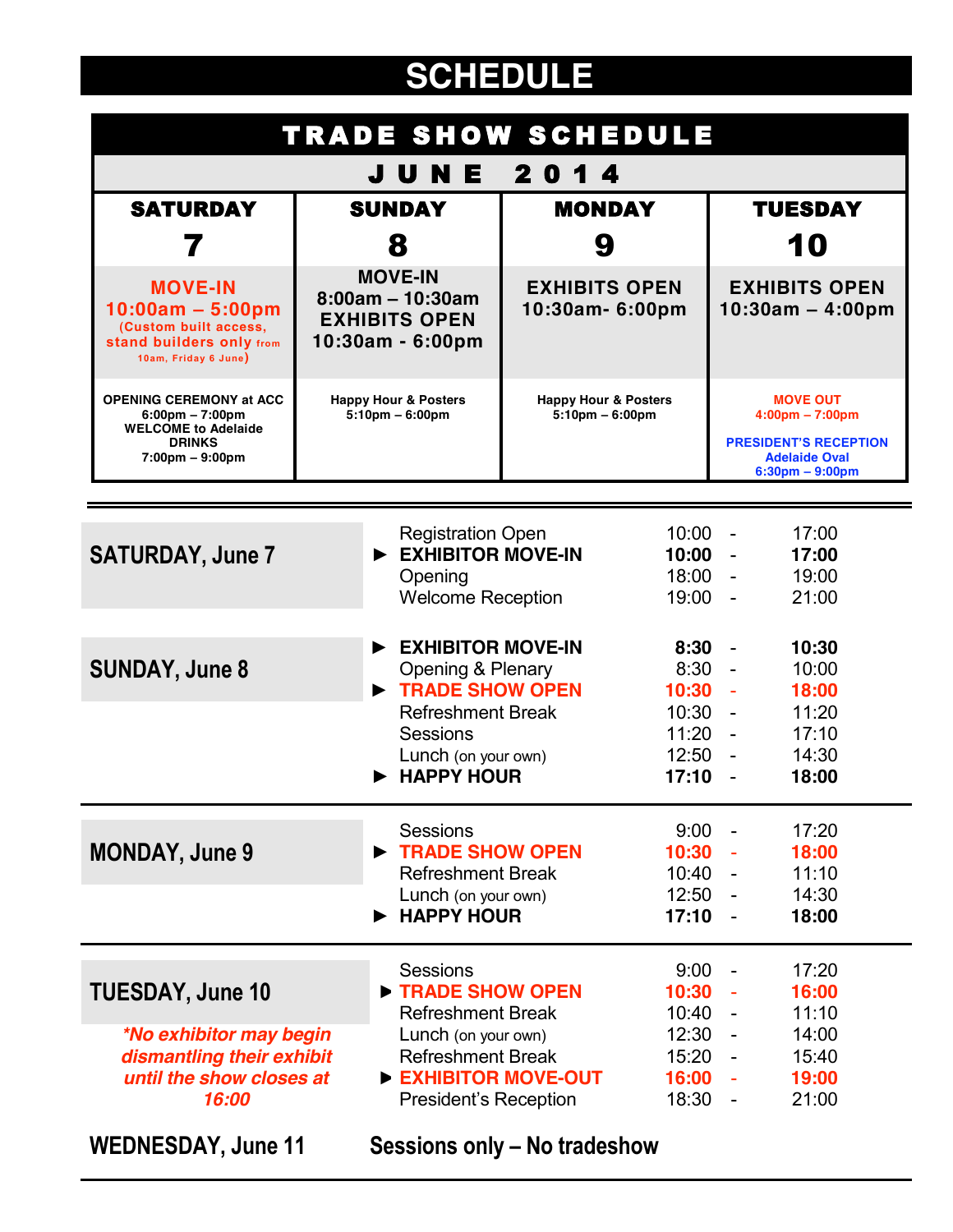# **SCHEDULE**

| <b>TRADE SHOW SCHEDULE</b>                                                                                                                              |                                                                                      |                                                                                                            |                                                         |                                                          |                                                                                                                                   |                                           |
|---------------------------------------------------------------------------------------------------------------------------------------------------------|--------------------------------------------------------------------------------------|------------------------------------------------------------------------------------------------------------|---------------------------------------------------------|----------------------------------------------------------|-----------------------------------------------------------------------------------------------------------------------------------|-------------------------------------------|
| JUNE<br>2014                                                                                                                                            |                                                                                      |                                                                                                            |                                                         |                                                          |                                                                                                                                   |                                           |
| <b>SATURDAY</b>                                                                                                                                         | <b>SUNDAY</b>                                                                        |                                                                                                            | <b>MONDAY</b>                                           |                                                          | <b>TUESDAY</b>                                                                                                                    |                                           |
|                                                                                                                                                         |                                                                                      | 8                                                                                                          | 9                                                       |                                                          | 10                                                                                                                                |                                           |
| <b>MOVE-IN</b><br>$10:00am - 5:00pm$<br>(Custom built access,<br><b>stand builders only from</b><br>10am, Friday 6 June)                                | <b>MOVE-IN</b><br>$8:00am - 10:30am$<br><b>EXHIBITS OPEN</b><br>10:30am - 6:00pm     |                                                                                                            | <b>EXHIBITS OPEN</b><br>10:30am- 6:00pm                 |                                                          | <b>EXHIBITS OPEN</b><br>$10:30am - 4:00pm$                                                                                        |                                           |
| <b>OPENING CEREMONY at ACC</b><br>$6:00 \text{pm} - 7:00 \text{pm}$<br><b>WELCOME to Adelaide</b><br><b>DRINKS</b><br>$7:00 \text{pm} - 9:00 \text{pm}$ | <b>Happy Hour &amp; Posters</b><br>$5:10$ pm $-6:00$ pm                              |                                                                                                            | <b>Happy Hour &amp; Posters</b><br>$5:10$ pm $-6:00$ pm |                                                          | <b>MOVE OUT</b><br>$4:00 \text{pm} - 7:00 \text{pm}$<br><b>PRESIDENT'S RECEPTION</b><br><b>Adelaide Oval</b><br>$6:30pm - 9:00pm$ |                                           |
|                                                                                                                                                         |                                                                                      |                                                                                                            |                                                         |                                                          |                                                                                                                                   |                                           |
| <b>SATURDAY, June 7</b>                                                                                                                                 | <b>Registration Open</b><br>EXHIBITOR MOVE-IN<br>Opening<br><b>Welcome Reception</b> |                                                                                                            |                                                         | $10:00 -$<br>10:00<br>18:00<br>$19:00 -$                 |                                                                                                                                   | 17:00<br>17:00<br>19:00<br>21:00          |
| <b>SUNDAY, June 8</b>                                                                                                                                   |                                                                                      | <b>EXHIBITOR MOVE-IN</b><br>Opening & Plenary<br><b>TRADE SHOW OPEN</b>                                    |                                                         | 8:30<br>8:30<br>10:30                                    | $\sim$                                                                                                                            | 10:30<br>10:00<br>18:00                   |
|                                                                                                                                                         |                                                                                      | <b>Refreshment Break</b><br><b>Sessions</b><br>Lunch (on your own)<br><b>HAPPY HOUR</b>                    |                                                         | 10:30<br>$11:20 -$<br>12:50<br>17:10                     |                                                                                                                                   | 11:20<br>17:10<br>14:30<br>18:00          |
| <b>MONDAY, June 9</b>                                                                                                                                   |                                                                                      | <b>Sessions</b><br>TRADE SHOW OPEN<br><b>Refreshment Break</b><br>Lunch (on your own)<br><b>HAPPY HOUR</b> |                                                         | 9:00<br>$10:30 -$<br>$10:40 -$<br>$12:50 -$<br>$17:10 -$ | $\overline{\phantom{a}}$                                                                                                          | 17:20<br>18:00<br>11:10<br>14:30<br>18:00 |
| <b>TUESDAY, June 10</b>                                                                                                                                 |                                                                                      | <b>Sessions</b><br>TRADE SHOW OPEN<br><b>Refreshment Break</b>                                             |                                                         | 9:00<br>10:30<br>$10:40 -$                               | $\blacksquare$                                                                                                                    | 17:20<br>16:00<br>11:10                   |
| <i><b>*No exhibitor may begin</b></i><br>dismantling their exhibit<br>until the show closes at<br>16:00                                                 |                                                                                      | Lunch (on your own)<br><b>Refreshment Break</b><br>EXHIBITOR MOVE-OUT<br><b>President's Reception</b>      |                                                         | $12:30 -$<br>$15:20 -$<br>$16:00 -$<br>$18:30 -$         |                                                                                                                                   | 14:00<br>15:40<br>19:00<br>21:00          |
| <b>WEDNESDAY, June 11</b>                                                                                                                               |                                                                                      | Sessions only – No tradeshow                                                                               |                                                         |                                                          |                                                                                                                                   |                                           |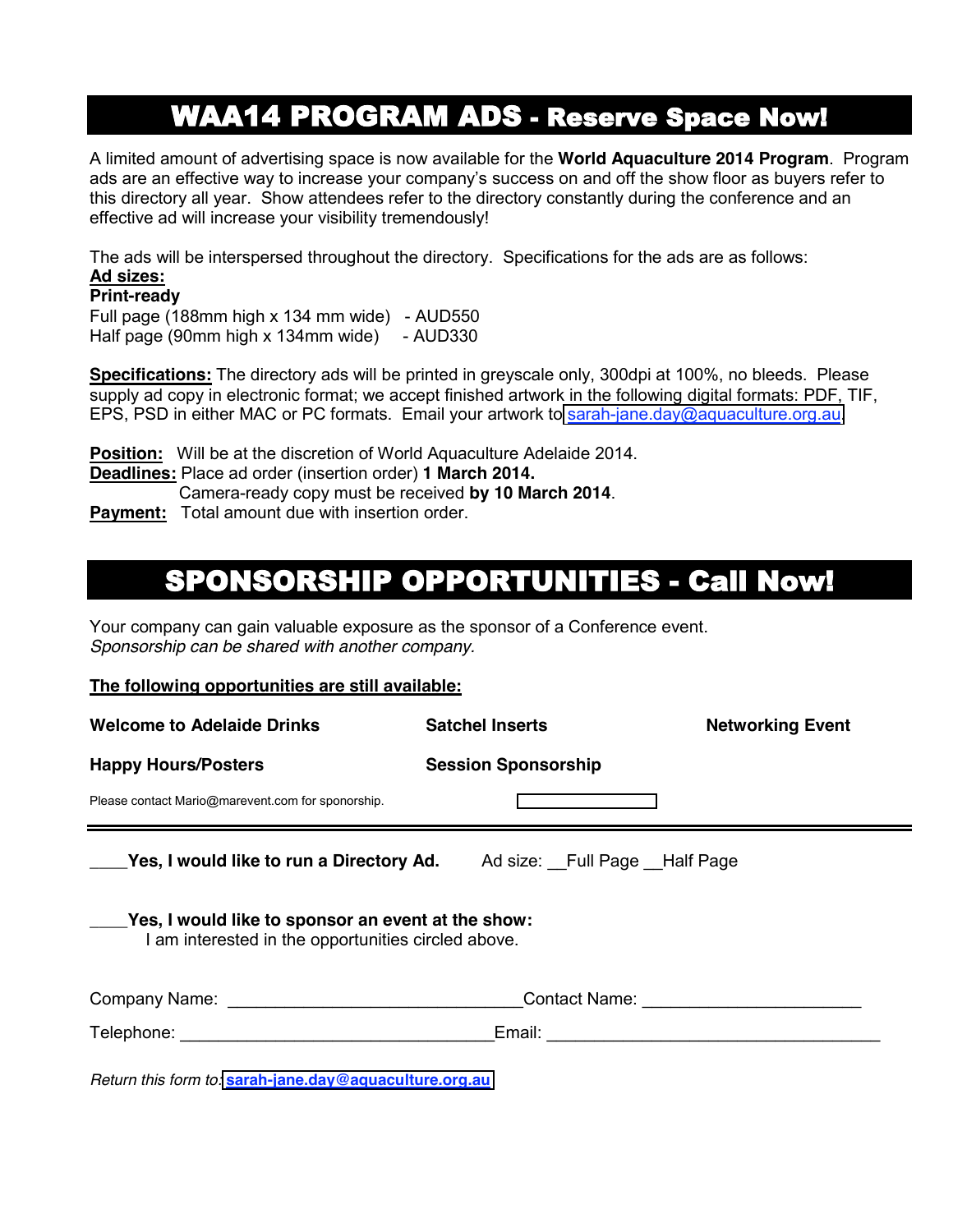### **WAA14 PROGRAM ADS - Reserve Space Now!**

A limited amount of advertising space is now available for the **World Aquaculture 2014 Program**. Program ads are an effective way to increase your company's success on and off the show floor as buyers refer to this directory all year. Show attendees refer to the directory constantly during the conference and an effective ad will increase your visibility tremendously!

The ads will be interspersed throughout the directory. Specifications for the ads are as follows: **Ad sizes:** 

#### **Print-ready**

Full page (188mm high x 134 mm wide) - AUD550 Half page (90mm high x 134mm wide) - AUD330

**Specifications:** The directory ads will be printed in greyscale only, 300dpi at 100%, no bleeds. Please supply ad copy in electronic format; we accept finished artwork in the following digital formats: PDF, TIF, EPS, PSD in either MAC or PC formats. Email your artwork to [sarah-jane.day@aquaculture.org.au.](mailto:sarah-jane.day@aquaculture.org.au)

**Position:** Will be at the discretion of World Aquaculture Adelaide 2014.

**Deadlines:** Place ad order (insertion order) **1 March 2014.**

Camera-ready copy must be received **by 10 March 2014**.

**Payment:** Total amount due with insertion order.

### SPONSORSHIP OPPORTUNITIES - Call Now!

Your company can gain valuable exposure as the sponsor of a Conference event. *Sponsorship can be shared with another company.* 

#### **The following opportunities are still available:**

| <b>Welcome to Adelaide Drinks</b>                                                                         | <b>Satchel Inserts</b>     | <b>Networking Event</b> |  |  |
|-----------------------------------------------------------------------------------------------------------|----------------------------|-------------------------|--|--|
| <b>Happy Hours/Posters</b>                                                                                | <b>Session Sponsorship</b> |                         |  |  |
| Please contact Mario@marevent.com for sponorship.                                                         |                            |                         |  |  |
| <b>Nes, I would like to run a Directory Ad.</b> Ad size: Full Page Half Page                              |                            |                         |  |  |
| Yes, I would like to sponsor an event at the show:<br>I am interested in the opportunities circled above. |                            |                         |  |  |
|                                                                                                           |                            |                         |  |  |
|                                                                                                           |                            |                         |  |  |
|                                                                                                           |                            |                         |  |  |

*Return this form to:* **[sarah-jane.day@aquaculture.org.au](mailto:sarah-jane.day@aquaculture.org.au)**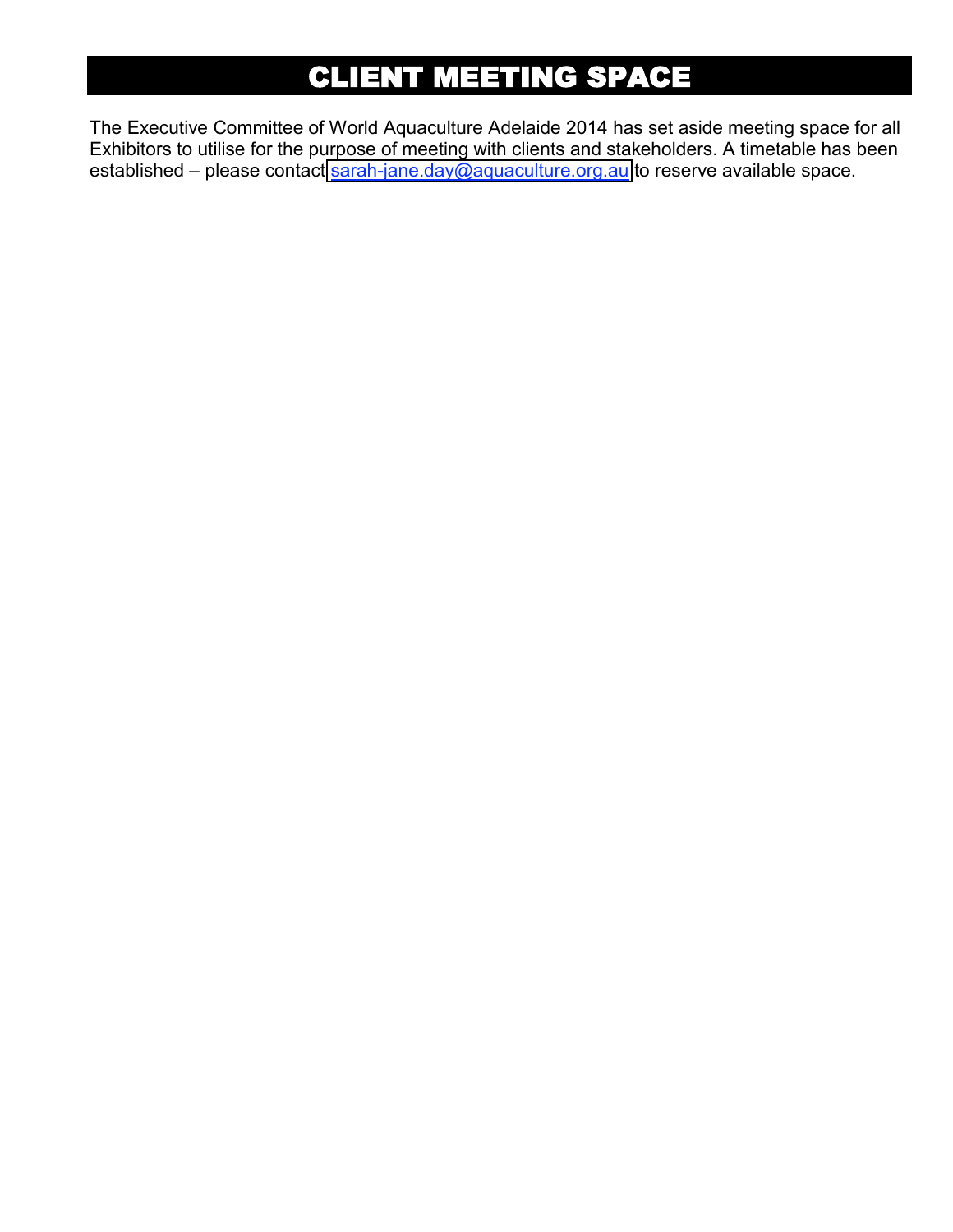## CLIENT MEETING SPACE

The Executive Committee of World Aquaculture Adelaide 2014 has set aside meeting space for all Exhibitors to utilise for the purpose of meeting with clients and stakeholders. A timetable has been established – please contact [sarah-jane.day@aquaculture.org.au](mailto:sarah-jane.day@aquaculture.org.au) to reserve available space.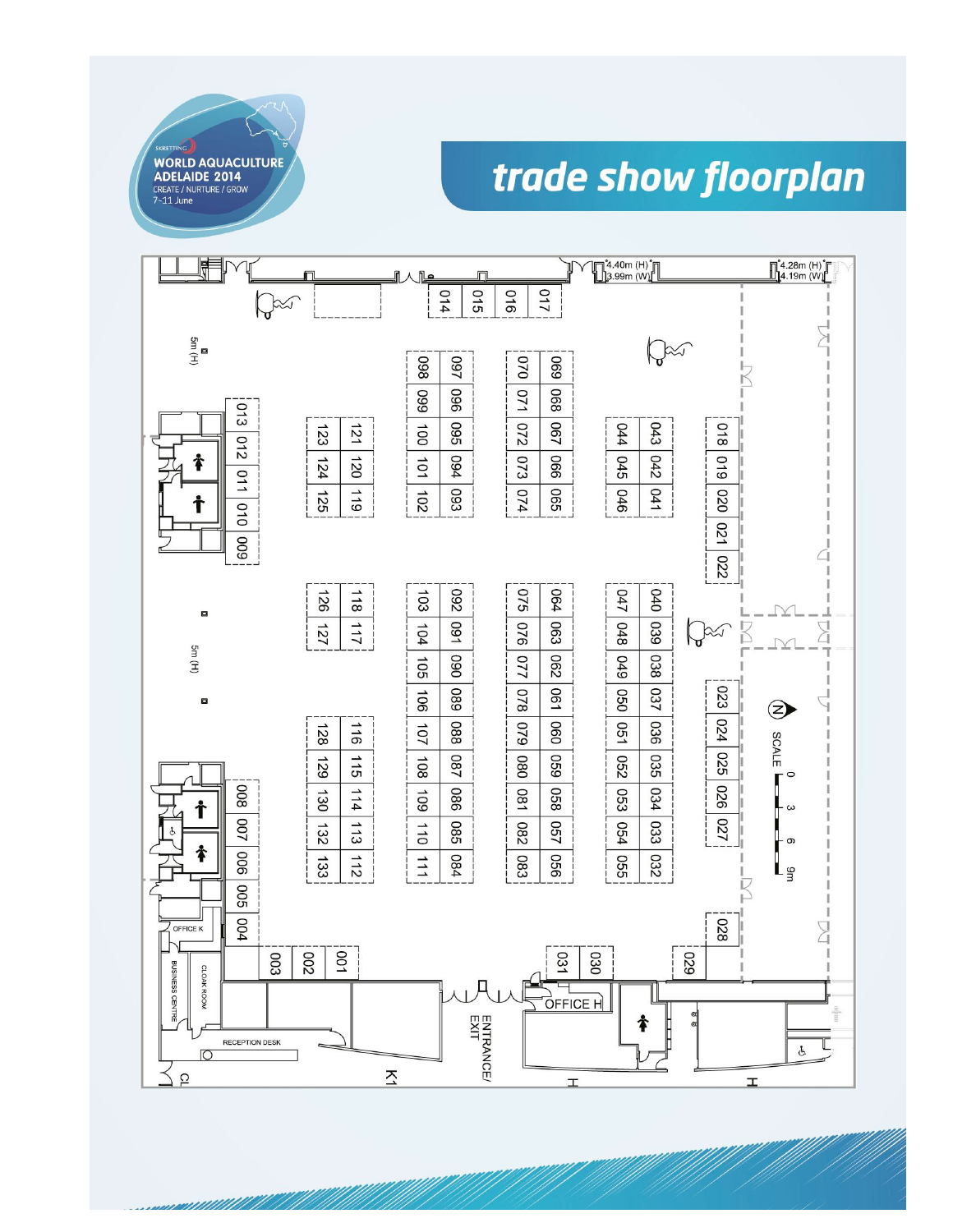

<u>n minimilitiki il</u>

# trade show floorplan

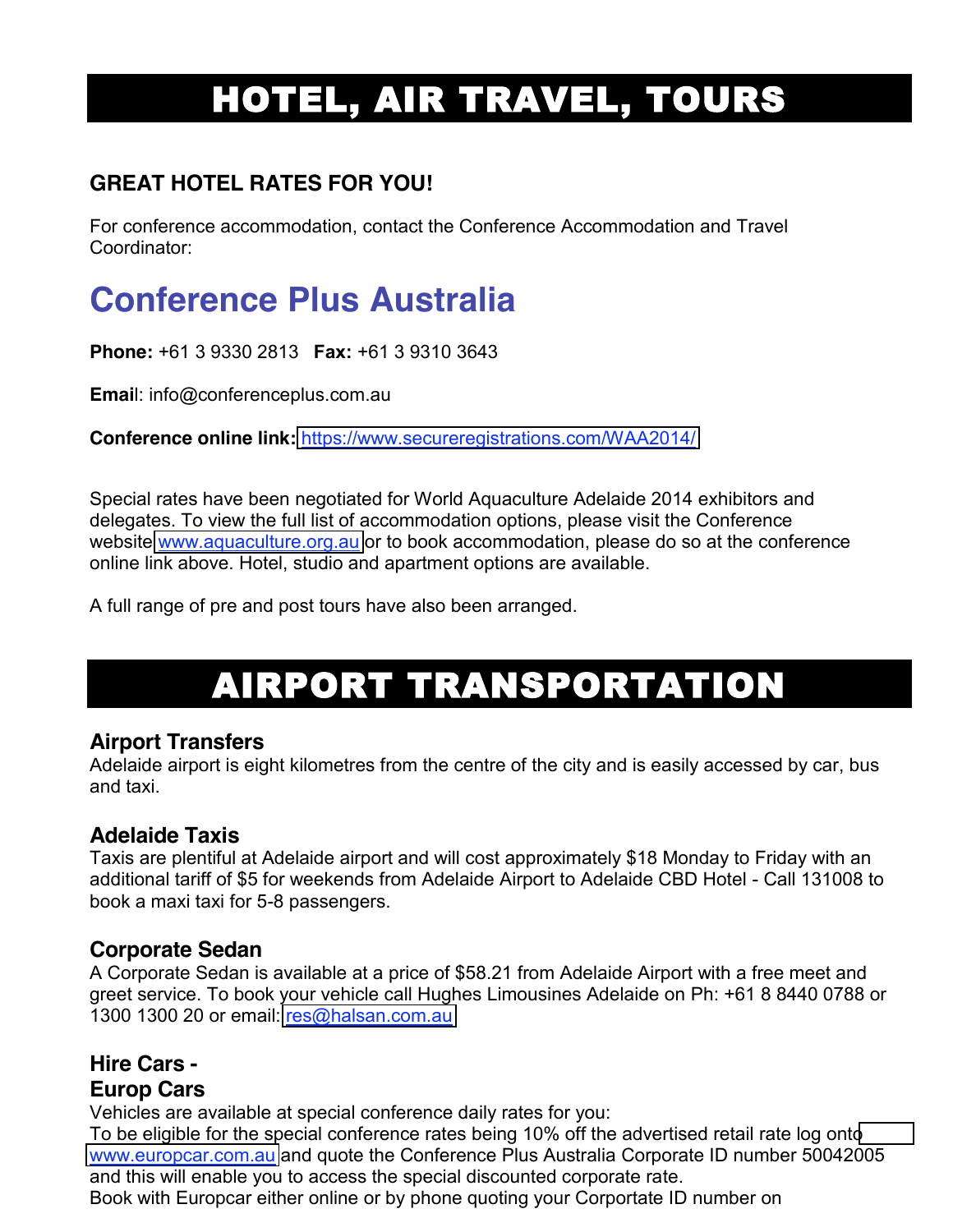# HOTEL, AIR TRAVEL, TOURS

#### **GREAT HOTEL RATES FOR YOU!**

For conference accommodation, contact the Conference Accommodation and Travel Coordinator:

# **Conference Plus Australia**

**Phone:** +61 3 9330 2813 **Fax:** +61 3 9310 3643

**Emai**l: info@conferenceplus.com.au

**Conference online link:** <https://www.secureregistrations.com/WAA2014/>

Special rates have been negotiated for World Aquaculture Adelaide 2014 exhibitors and delegates. To view the full list of accommodation options, please visit the Conference website [www.aquaculture.org.au](http://www.australian-aquacultureportal.com/) or to book accommodation, please do so at the conference online link above. Hotel, studio and apartment options are available.

A full range of pre and post tours have also been arranged.

# AIRPORT TRANSPORTATION

#### **Airport Transfers**

Adelaide airport is eight kilometres from the centre of the city and is easily accessed by car, bus and taxi.

#### **Adelaide Taxis**

Taxis are plentiful at Adelaide airport and will cost approximately \$18 Monday to Friday with an additional tariff of \$5 for weekends from Adelaide Airport to Adelaide CBD Hotel - Call 131008 to book a maxi taxi for 5-8 passengers.

#### **Corporate Sedan**

A Corporate Sedan is available at a price of \$58.21 from Adelaide Airport with a free meet and greet service. To book your vehicle call Hughes Limousines Adelaide on Ph: +61 8 8440 0788 or 1300 1300 20 or email: [res@halsan.com.au](mailto:res@halsan.com.au)

#### **Hire Cars - Europ Cars**

Vehicles are available at special conference daily rates for you:

To be eligible for the special conference rates being 10% off the advertised retail rate log ont[o](http://www.deltaeuropcar.com.au/) [www.europcar.com.au](http://www.europcar.com.au/) and quote the Conference Plus Australia Corporate ID number 50042005 and this will enable you to access the special discounted corporate rate.

Book with Europcar either online or by phone quoting your Corportate ID number on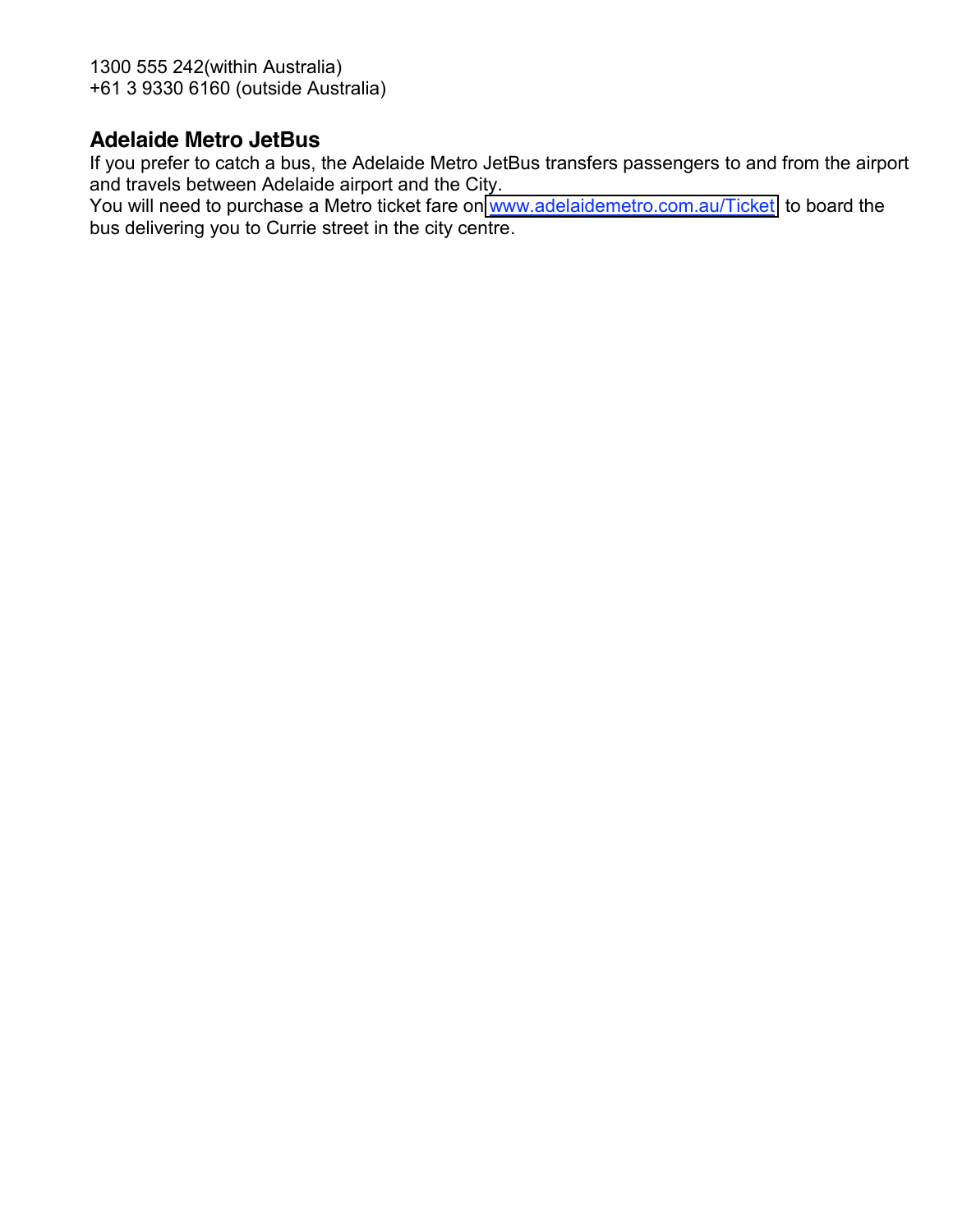1300 555 242(within Australia) +61 3 9330 6160 (outside Australia)

#### **Adelaide Metro JetBus**

If you prefer to catch a bus, the Adelaide Metro JetBus transfers passengers to and from the airport and travels between Adelaide airport and the City.

You will need to purchase a Metro ticket fare on [www.adelaidemetro.com.au/Ticket](http://www.adelaidemetro.com.au/Ticket) to board the bus delivering you to Currie street in the city centre.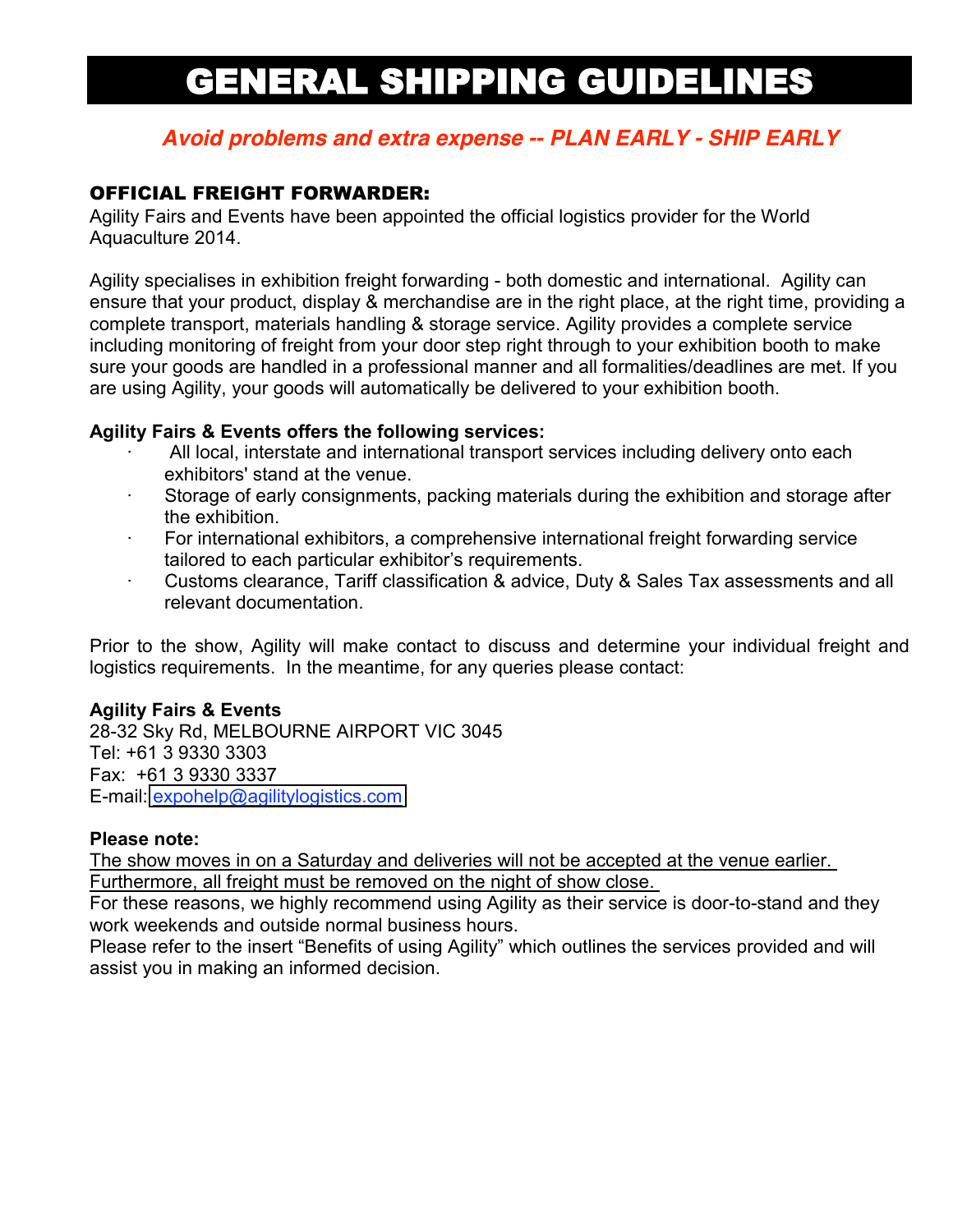# GENERAL SHIPPING GUIDELINES

#### *Avoid problems and extra expense -- PLAN EARLY - SHIP EARLY*

#### OFFICIAL FREIGHT FORWARDER:

Agility Fairs and Events have been appointed the official logistics provider for the World Aquaculture 2014.

Agility specialises in exhibition freight forwarding - both domestic and international. Agility can ensure that your product, display & merchandise are in the right place, at the right time, providing a complete transport, materials handling & storage service. Agility provides a complete service including monitoring of freight from your door step right through to your exhibition booth to make sure your goods are handled in a professional manner and all formalities/deadlines are met. If you are using Agility, your goods will automatically be delivered to your exhibition booth.

#### **Agility Fairs & Events offers the following services:**

- All local, interstate and international transport services including delivery onto each exhibitors' stand at the venue.
- Storage of early consignments, packing materials during the exhibition and storage after the exhibition.
- · For international exhibitors, a comprehensive international freight forwarding service tailored to each particular exhibitor's requirements.
- · Customs clearance, Tariff classification & advice, Duty & Sales Tax assessments and all relevant documentation.

Prior to the show, Agility will make contact to discuss and determine your individual freight and logistics requirements. In the meantime, for any queries please contact:

#### **Agility Fairs & Events**

28-32 Sky Rd, MELBOURNE AIRPORT VIC 3045 Tel: +61 3 9330 3303 Fax: +61 3 9330 3337 E-mail: [expohelp@agilitylogistics.com](mailto:Expoeasy@agilitylogistics.com)

#### **Please note:**

The show moves in on a Saturday and deliveries will not be accepted at the venue earlier. Furthermore, all freight must be removed on the night of show close.

For these reasons, we highly recommend using Agility as their service is door-to-stand and they work weekends and outside normal business hours.

Please refer to the insert "Benefits of using Agility" which outlines the services provided and will assist you in making an informed decision.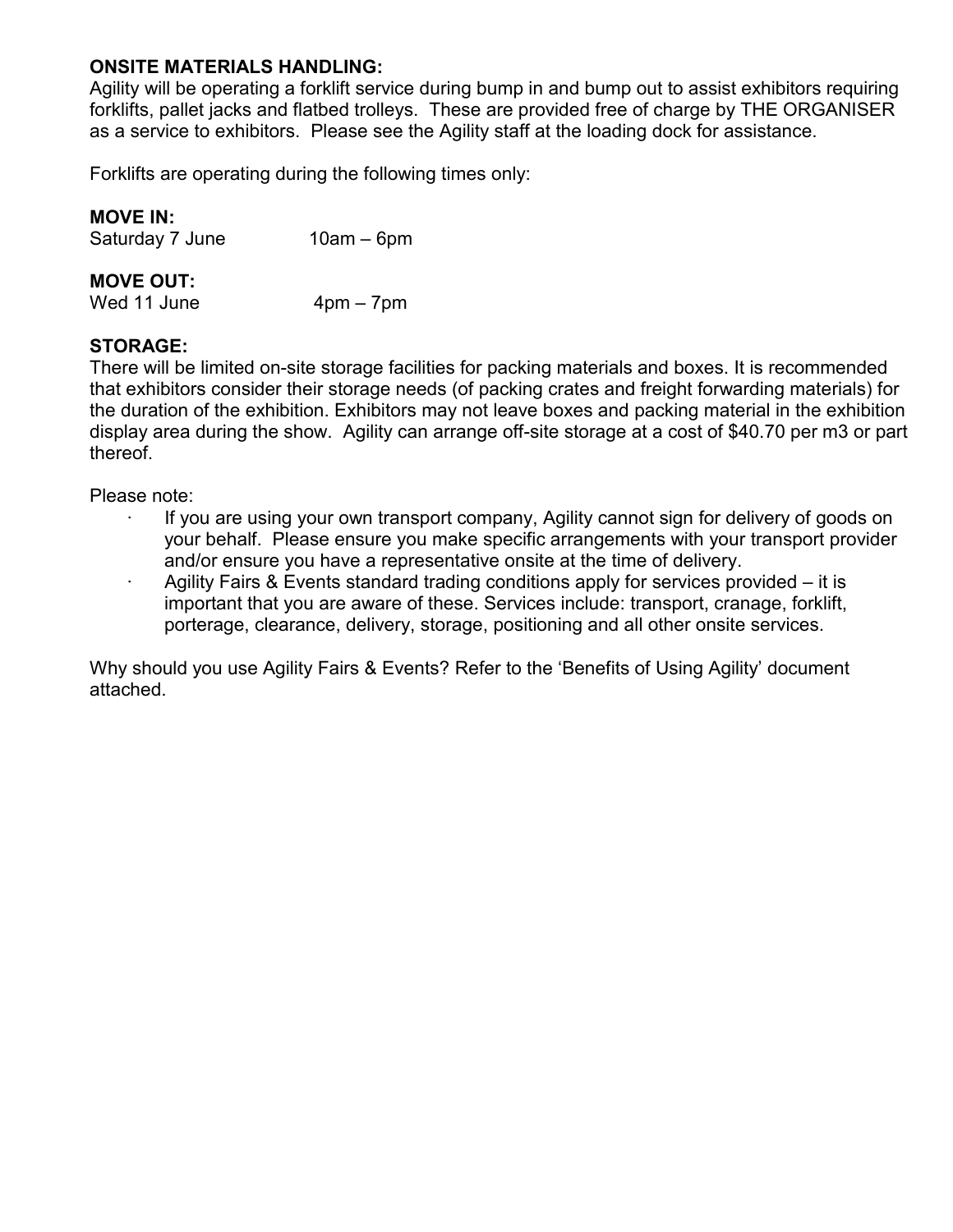#### **ONSITE MATERIALS HANDLING:**

Agility will be operating a forklift service during bump in and bump out to assist exhibitors requiring forklifts, pallet jacks and flatbed trolleys. These are provided free of charge by THE ORGANISER as a service to exhibitors. Please see the Agility staff at the loading dock for assistance.

Forklifts are operating during the following times only:

| <b>MOVE IN:</b> |  |  |  |
|-----------------|--|--|--|
|                 |  |  |  |

| Saturday 7 June  | $10am - 6pm$ |
|------------------|--------------|
| <b>MOVE OUT:</b> |              |

Wed 11 June  $4pm - 7pm$ 

#### **STORAGE:**

There will be limited on-site storage facilities for packing materials and boxes. It is recommended that exhibitors consider their storage needs (of packing crates and freight forwarding materials) for the duration of the exhibition. Exhibitors may not leave boxes and packing material in the exhibition display area during the show. Agility can arrange off-site storage at a cost of \$40.70 per m3 or part thereof.

Please note:

- If you are using your own transport company, Agility cannot sign for delivery of goods on your behalf. Please ensure you make specific arrangements with your transport provider and/or ensure you have a representative onsite at the time of delivery.
- Agility Fairs & Events standard trading conditions apply for services provided it is important that you are aware of these. Services include: transport, cranage, forklift, porterage, clearance, delivery, storage, positioning and all other onsite services.

Why should you use Agility Fairs & Events? Refer to the 'Benefits of Using Agility' document attached.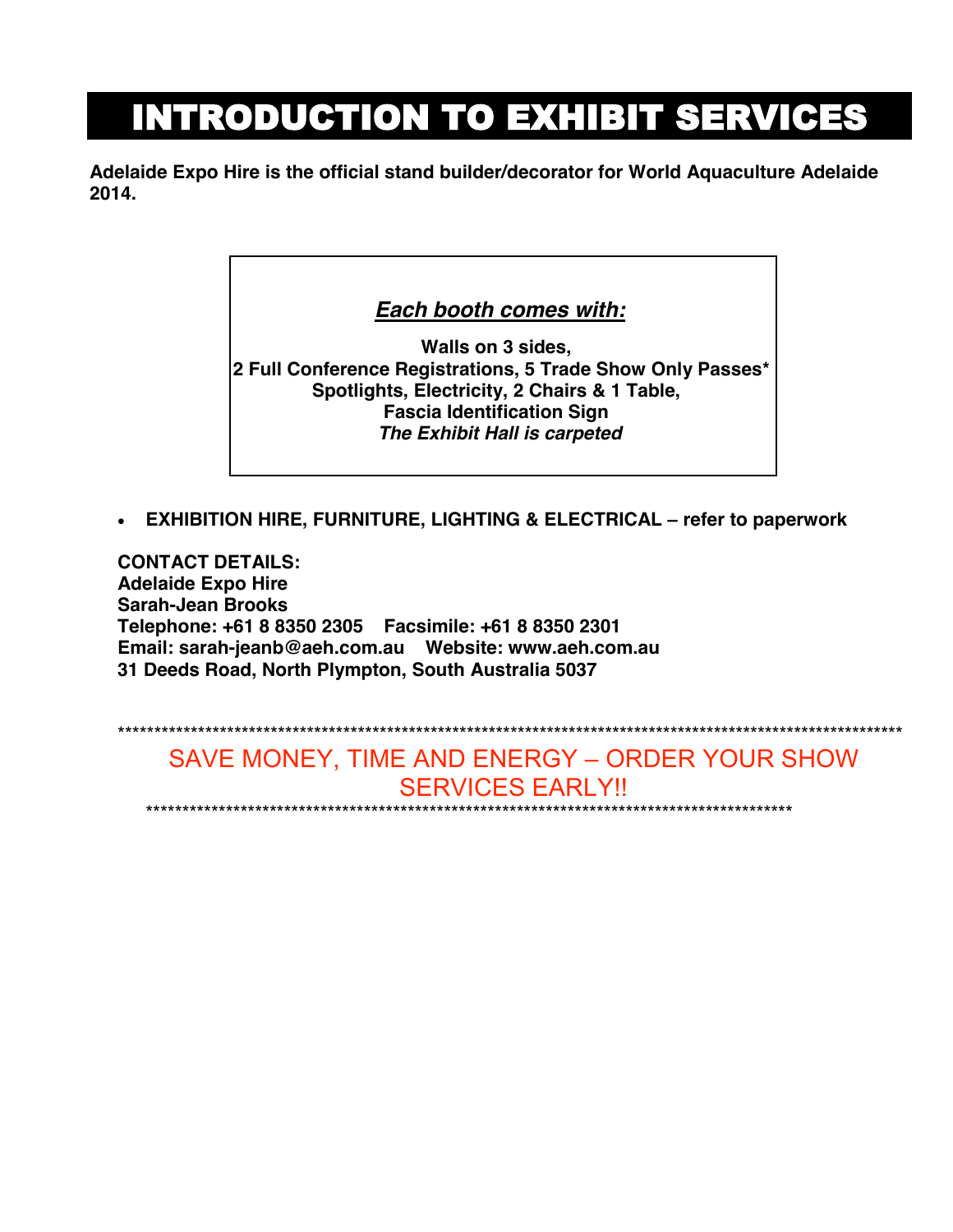# INTRODUCTION TO EXHIBIT SERVICES

**Adelaide Expo Hire is the official stand builder/decorator for World Aquaculture Adelaide 2014.**

#### *Each booth comes with:*

**Walls on 3 sides, 2 Full Conference Registrations, 5 Trade Show Only Passes\* Spotlights, Electricity, 2 Chairs & 1 Table, Fascia Identification Sign** *The Exhibit Hall is carpeted*

**EXHIBITION HIRE, FURNITURE, LIGHTING & ELECTRICAL – refer to paperwork**

**CONTACT DETAILS: Adelaide Expo Hire Sarah-Jean Brooks Telephone: +61 8 8350 2305 Facsimile: +61 8 8350 2301 Email: sarah-jeanb@aeh.com.au Website: www.aeh.com.au 31 Deeds Road, North Plympton, South Australia 5037**

\*\*\*\*\*\*\*\*\*\*\*\*\*\*\*\*\*\*\*\*\*\*\*\*\*\*\*\*\*\*\*\*\*\*\*\*\*\*\*\*\*\*\*\*\*\*\*\*\*\*\*\*\*\*\*\*\*\*\*\*\*\*\*\*\*\*\*\*\*\*\*\*\*\*\*\*\*\*\*\*\*\*\*\*\*\*\*\*\*\*\*\*\*\*\*\*\*\*\*\*\*\*\*\*\*\*\*\* SAVE MONEY, TIME AND ENERGY – ORDER YOUR SHOW SERVICES EARLY!! \*\*\*\*\*\*\*\*\*\*\*\*\*\*\*\*\*\*\*\*\*\*\*\*\*\*\*\*\*\*\*\*\*\*\*\*\*\*\*\*\*\*\*\*\*\*\*\*\*\*\*\*\*\*\*\*\*\*\*\*\*\*\*\*\*\*\*\*\*\*\*\*\*\*\*\*\*\*\*\*\*\*\*\*\*\*\*\*\*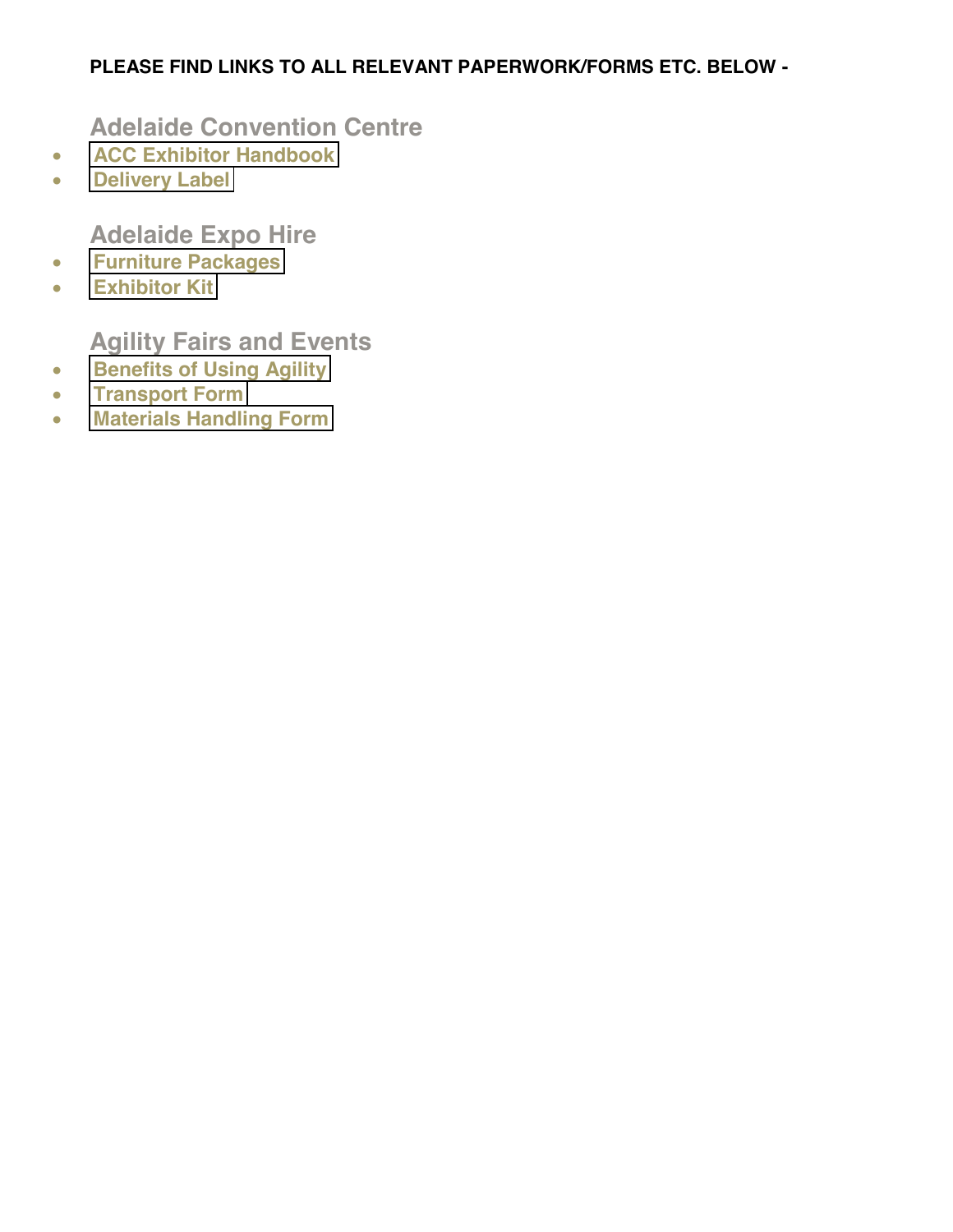#### **PLEASE FIND LINKS TO ALL RELEVANT PAPERWORK/FORMS ETC. BELOW -**

**Adelaide Convention Centre**

- **[ACC Exhibitor Handbook](http://aquaculture.org.au/images/downloads/Exhibition_Handbook-1.pdf)**
- **[Delivery Label](http://aquaculture.org.au/images/downloads/Exhibitor_Label_27923.pdf)**

**Adelaide Expo Hire**

- **[Furniture Packages](http://aquaculture.org.au/images/downloads/AEH_Furniture_Packages_Aquaculture.pdf)**
- **[Exhibitor Kit](http://aquaculture.org.au/images/downloads/AEH_Exhibitor_Kit_Corinthian.pdf)**

**Agility Fairs and Events**

- **•** [Benefits of Using Agility](http://aquaculture.org.au/images/downloads/Benefits_of_using_Agility.pdf)
- **[Transport Form](http://aquaculture.org.au/images/downloads/World_Aquaculture_Transport_Form.pdf)**
- **[Materials Handling Form](http://aquaculture.org.au/images/downloads/World_Aquaculture_Materials_Handling_Form.pdf)**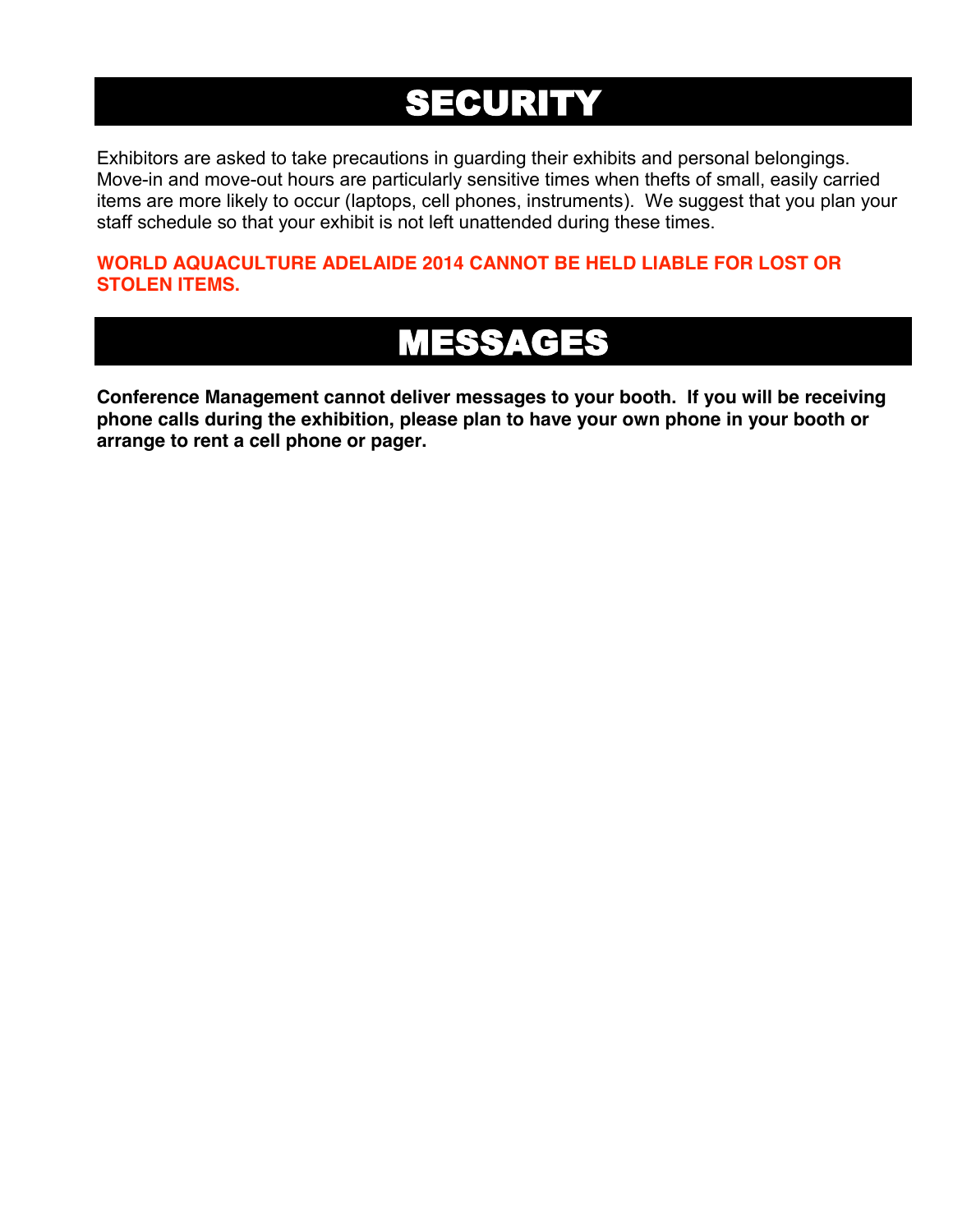# SECURITY

Exhibitors are asked to take precautions in guarding their exhibits and personal belongings. Move-in and move-out hours are particularly sensitive times when thefts of small, easily carried items are more likely to occur (laptops, cell phones, instruments). We suggest that you plan your staff schedule so that your exhibit is not left unattended during these times.

**WORLD AQUACULTURE ADELAIDE 2014 CANNOT BE HELD LIABLE FOR LOST OR STOLEN ITEMS.**

# MESSAGES

**Conference Management cannot deliver messages to your booth. If you will be receiving phone calls during the exhibition, please plan to have your own phone in your booth or arrange to rent a cell phone or pager.**